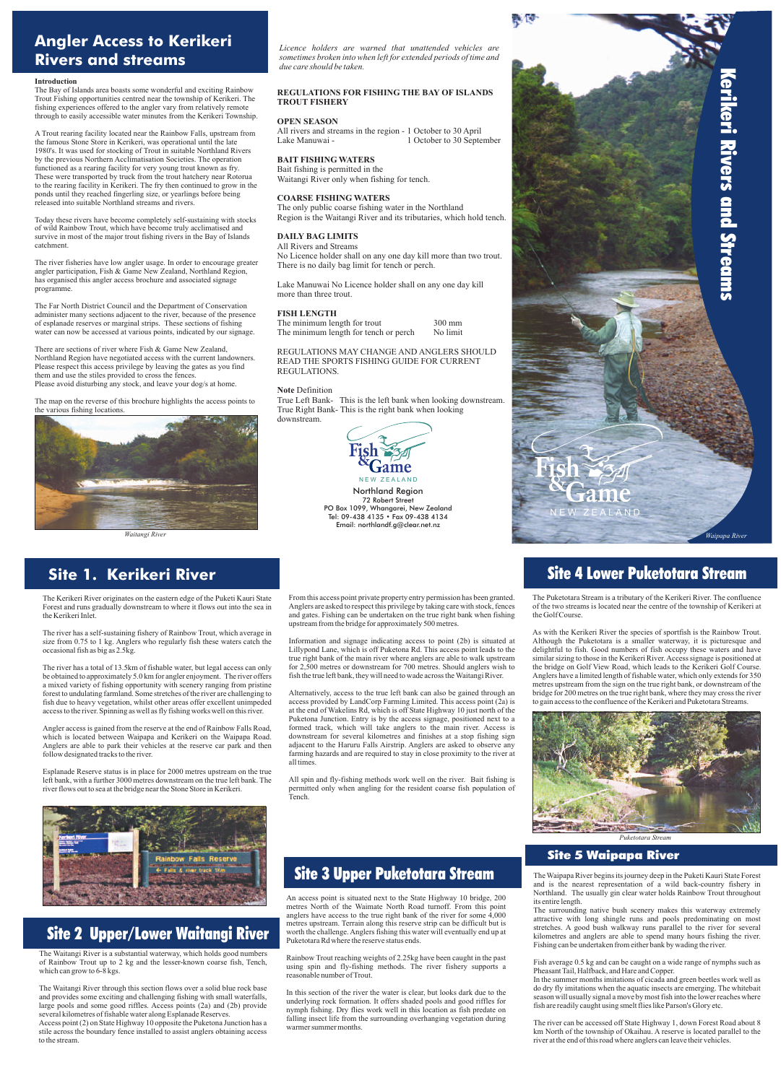

### **Site 1. Kerikeri River**

### **Angler Access to Kerikeri Rivers and streams**

## Site 2 Upper/Lower Waitangi River

# Site 3 Upper Puketotara Stream

# Site 4 Lower Puketotara Stream

### Site 5 Waipapa River

Northland Region 72 Robert Street PO Box 1099, Whangarei, New Zealand Tel: 09-438 4135 • Fax 09-438 4134 Email: northlandf.g@clear.net.nz

#### **Introduction**

The Bay of Islands area boasts some wonderful and exciting Rainbow Trout Fishing opportunities centred near the township of Kerikeri. The fishing experiences offered to the angler vary from relatively remote through to easily accessible water minutes from the Kerikeri Township.

There are sections of river where Fish & Game New Zealand, Northland Region have negotiated access with the current landowners. Please respect this access privilege by leaving the gates as you find them and use the stiles provided to cross the fences. Please avoid disturbing any stock, and leave your dog/s at home.

A Trout rearing facility located near the Rainbow Falls, upstream from the famous Stone Store in Kerikeri, was operational until the late 1980's. It was used for stocking of Trout in suitable Northland Rivers by the previous Northern Acclimatisation Societies. The operation functioned as a rearing facility for very young trout known as fry. These were transported by truck from the trout hatchery near Rotorua to the rearing facility in Kerikeri. The fry then continued to grow in the ponds until they reached fingerling size, or yearlings before being released into suitable Northland streams and rivers.

Today these rivers have become completely self-sustaining with stocks of wild Rainbow Trout, which have become truly acclimatised and survive in most of the major trout fishing rivers in the Bay of Islands catchment.

The river fisheries have low angler usage. In order to encourage greater angler participation, Fish & Game New Zealand, Northland Region, has organised this angler access brochure and associated signage programme.

The Waitangi River is a substantial waterway, which holds good numbers of Rainbow Trout up to 2 kg and the lesser-known coarse fish, Tench, which can grow to  $6-8$  kgs.

The Far North District Council and the Department of Conservation administer many sections adjacent to the river, because of the presence of esplanade reserves or marginal strips. These sections of fishing water can now be accessed at various points, indicated by our signage.

The map on the reverse of this brochure highlights the access points to the various fishing locations.



The Kerikeri River originates on the eastern edge of the Puketi Kauri State Forest and runs gradually downstream to where it flows out into the sea in the Kerikeri Inlet.

The river has a self-sustaining fishery of Rainbow Trout, which average in size from 0.75 to 1 kg. Anglers who regularly fish these waters catch the occasional fish as big as 2.5kg.

> and fly-fishing methods work well on the river. Bait fishing permitted only when angling for the resident coarse fish population of Tench.

The river has a total of 13.5km of fishable water, but legal access can only be obtained to approximately 5.0 km for angler enjoyment. The river offers a mixed variety of fishing opportunity with scenery ranging from pristine forest to undulating farmland. Some stretches of the river are challenging to fish due to heavy vegetation, whilst other areas offer excellent unimpeded access to the river. Spinning as well as fly fishing works well on this river.

Angler access is gained from the reserve at the end of Rainbow Falls Road, which is located between Waipapa and Kerikeri on the Waipapa Road. Anglers are able to park their vehicles at the reserve car park and then follow designated tracks to the river.

Esplanade Reserve status is in place for 2000 metres upstream on the true

left bank, with a further 3000 metres downstream on the true left bank. The river flows out to sea at the bridge near the Stone Store in Kerikeri.



The Waitangi River through this section flows over a solid blue rock base and provides some exciting and challenging fishing with small waterfalls, large pools and some good riffles. Access points (2a) and (2b) provide several kilometres of fishable water along Esplanade Reserves. Access point (2) on State Highway 10 opposite the Puketona Junction has a stile across the boundary fence installed to assist anglers obtaining access to the stream.

All rivers and streams in the region - 1 October to 30 April Lake Manuwai - 1 October to 30 September

From this access point private property entry permission has been granted. Anglers are asked to respect this privilege by taking care with stock, fences and gates. Fishing can be undertaken on the true right bank when fishing upstream from the bridge for approximately 500 metres.

Information and signage indicating access to point (2b) is situated at Lillypond Lane, which is off Puketona Rd. This access point leads to the true right bank of the main river where anglers are able to walk upstream for 2,500 metres or downstream for 700 metres. Should anglers wish to fish the true left bank, they will need to wade across the Waitangi River.



Alternatively, access to the true left bank can also be gained through an access provided by LandCorp Farming Limited. This access point (2a) is at the end of Wakelins Rd, which is off State Highway 10 just north of the Puketona Junction. Entry is by the access signage, positioned next to a formed track, which will take anglers to the main river. Access is downstream for several kilometres and finishes at a stop fishing sign adjacent to the Haruru Falls Airstrip. Anglers are asked to observe any farming hazards and are required to stay in close proximity to the river at all times.

An access point is situated next to the State Highway 10 bridge, 200 metres North of the Waimate North Road turnoff. From this point anglers have access to the true right bank of the river for some 4,000 metres upstream. Terrain along this reserve strip can be difficult but is worth the challenge. Anglers fishing this water will eventually end up at Puketotara Rd where the reserve status ends.

Rainbow Trout reaching weights of 2.25kg have been caught in the past using spin and fly-fishing methods. The river fishery supports a reasonable number of Trout.

In this section of the river the water is clear, but looks dark due to the underlying rock formation. It offers shaded pools and good riffles for nymph fishing. Dry flies work well in this location as fish predate on falling insect life from the surrounding overhanging vegetation during warmer summer months.

The Waipapa River begins its journey deep in the Puketi Kauri State Forest and is the nearest representation of a wild back-country fishery in Northland. The usually gin clear water holds Rainbow Trout throughout its entire length.

The surrounding native bush scenery makes this waterway extremely attractive with long shingle runs and pools predominating on most stretches. A good bush walkway runs parallel to the river for several kilometres and anglers are able to spend many hours fishing the river. Fishing can be undertaken from either bank by wading the river.

Fish average 0.5 kg and can be caught on a wide range of nymphs such as Pheasant Tail, Halfback, and Hare and Copper.

In the summer months imitations of cicada and green beetles work well as do dry fly imitations when the aquatic insects are emerging. The whitebait season will usually signal a move by most fish into the lower reaches where fish are readily caught using smelt flies like Parson's Glory etc.

The river can be accessed off State Highway 1, down Forest Road about 8 km North of the township of Okaihau. A reserve is located parallel to the river at the end of this road where anglers can leave their vehicles.

The Puketotara Stream is a tributary of the Kerikeri River. The confluence of the two streams is located near the centre of the township of Kerikeri at the Golf Course.

As with the Kerikeri River the species of sportfish is the Rainbow Trout. Although the Puketotara is a smaller waterway, it is picturesque and delightful to fish. Good numbers of fish occupy these waters and have similar sizing to those in the Kerikeri River. Access signage is positioned at the bridge on Golf View Road, which leads to the Kerikeri Golf Course. Anglers have a limited length of fishable water, which only extends for 350 metres upstream from the sign on the true right bank, or downstream of the bridge for 200 metres on the true right bank, where they may cross the river to gain access to the confluence of the Kerikeri and Puketotara Streams.



*Licence holders are warned that unattended vehicles are sometimes broken into when left for extended periods of time and due care should be taken.*

#### **REGULATIONS FOR FISHING THE BAY OF ISLANDS TROUT FISHERY**

#### **OPEN SEASON**

#### **BAIT FISHING WATERS**

Bait fishing is permitted in the Waitangi River only when fishing for tench.

#### **COARSE FISHING WATERS**

The only public coarse fishing water in the Northland Region is the Waitangi River and its tributaries, which hold tench.

#### **DAILY BAG LIMITS**

All Rivers and Streams No Licence holder shall on any one day kill more than two trout. There is no daily bag limit for tench or perch.

Lake Manuwai No Licence holder shall on any one day kill more than three trout.

#### **FISH LENGTH**

The minimum length for trout 300 mm

The minimum length for tench or perch No limit

REGULATIONS MAY CHANGE AND ANGLERS SHOULD READ THE SPORTS FISHING GUIDE FOR CURRENT REGULATIONS.

#### **Note** Definition

True Left Bank- This is the left bank when looking downstream. True Right Bank- This is the right bank when looking downstream.

*Puketotara Stream*